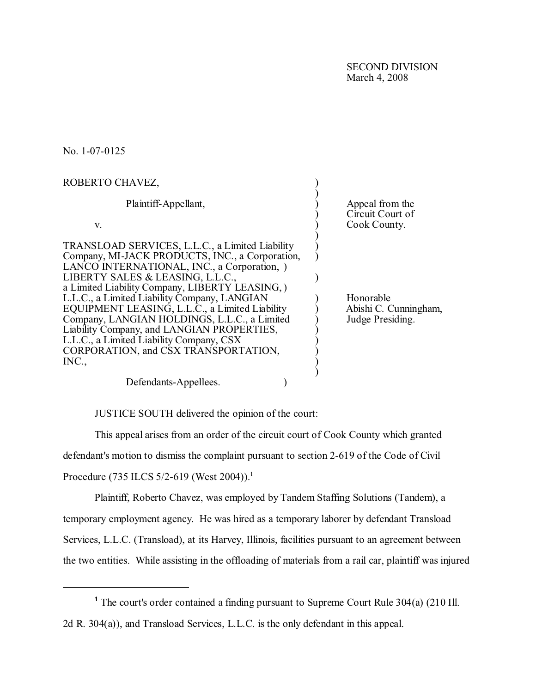SECOND DIVISION March 4, 2008

No. 1-07-0125

| ROBERTO CHAVEZ,                                                                                                                                                                                                                                                                                                                                                                                                                                                                                                                      |                                                        |
|--------------------------------------------------------------------------------------------------------------------------------------------------------------------------------------------------------------------------------------------------------------------------------------------------------------------------------------------------------------------------------------------------------------------------------------------------------------------------------------------------------------------------------------|--------------------------------------------------------|
| Plaintiff-Appellant,                                                                                                                                                                                                                                                                                                                                                                                                                                                                                                                 | Appeal from the<br>Circuit Court of                    |
| V.                                                                                                                                                                                                                                                                                                                                                                                                                                                                                                                                   | Cook County.                                           |
| TRANSLOAD SERVICES, L.L.C., a Limited Liability<br>Company, MI-JACK PRODUCTS, INC., a Corporation,<br>LANCO INTERNATIONAL, INC., a Corporation, )<br>LIBERTY SALES & LEASING, L.L.C.,<br>a Limited Liability Company, LIBERTY LEASING, )<br>L.L.C., a Limited Liability Company, LANGIAN<br>EQUIPMENT LEASING, L.L.C., a Limited Liability<br>Company, LANGIAN HOLDINGS, L.L.C., a Limited<br>Liability Company, and LANGIAN PROPERTIES,<br>L.L.C., a Limited Liability Company, CSX<br>CORPORATION, and CSX TRANSPORTATION,<br>INC. | Honorable<br>Abishi C. Cunningham,<br>Judge Presiding. |
| Defendants-Appellees.                                                                                                                                                                                                                                                                                                                                                                                                                                                                                                                |                                                        |

JUSTICE SOUTH delivered the opinion of the court:

This appeal arises from an order of the circuit court of Cook County which granted

defendant's motion to dismiss the complaint pursuant to section 2-619 of the Code of Civil

Procedure (735 ILCS 5/2-619 (West 2004)).<sup>1</sup>

Plaintiff, Roberto Chavez, was employed by Tandem Staffing Solutions (Tandem), a temporary employment agency. He was hired as a temporary laborer by defendant Transload Services, L.L.C. (Transload), at its Harvey, Illinois, facilities pursuant to an agreement between the two entities. While assisting in the offloading of materials from a rail car, plaintiff was injured

**<sup>1</sup>** The court's order contained a finding pursuant to Supreme Court Rule 304(a) (210 Ill. 2d R. 304(a)), and Transload Services, L.L.C. is the only defendant in this appeal.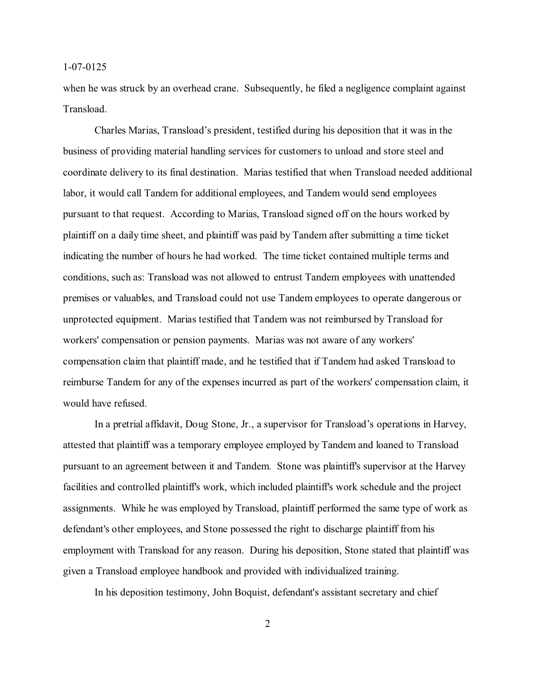when he was struck by an overhead crane. Subsequently, he filed a negligence complaint against Transload.

Charles Marias, Transload's president, testified during his deposition that it was in the business of providing material handling services for customers to unload and store steel and coordinate delivery to its final destination. Marias testified that when Transload needed additional labor, it would call Tandem for additional employees, and Tandem would send employees pursuant to that request. According to Marias, Transload signed off on the hours worked by plaintiff on a daily time sheet, and plaintiff was paid by Tandem after submitting a time ticket indicating the number of hours he had worked. The time ticket contained multiple terms and conditions, such as: Transload was not allowed to entrust Tandem employees with unattended premises or valuables, and Transload could not use Tandem employees to operate dangerous or unprotected equipment. Marias testified that Tandem was not reimbursed by Transload for workers' compensation or pension payments. Marias was not aware of any workers' compensation claim that plaintiff made, and he testified that if Tandem had asked Transload to reimburse Tandem for any of the expenses incurred as part of the workers' compensation claim, it would have refused.

In a pretrial affidavit, Doug Stone, Jr., a supervisor for Transload's operations in Harvey, attested that plaintiff was a temporary employee employed by Tandem and loaned to Transload pursuant to an agreement between it and Tandem. Stone was plaintiff's supervisor at the Harvey facilities and controlled plaintiff's work, which included plaintiff's work schedule and the project assignments. While he was employed by Transload, plaintiff performed the same type of work as defendant's other employees, and Stone possessed the right to discharge plaintiff from his employment with Transload for any reason. During his deposition, Stone stated that plaintiff was given a Transload employee handbook and provided with individualized training.

In his deposition testimony, John Boquist, defendant's assistant secretary and chief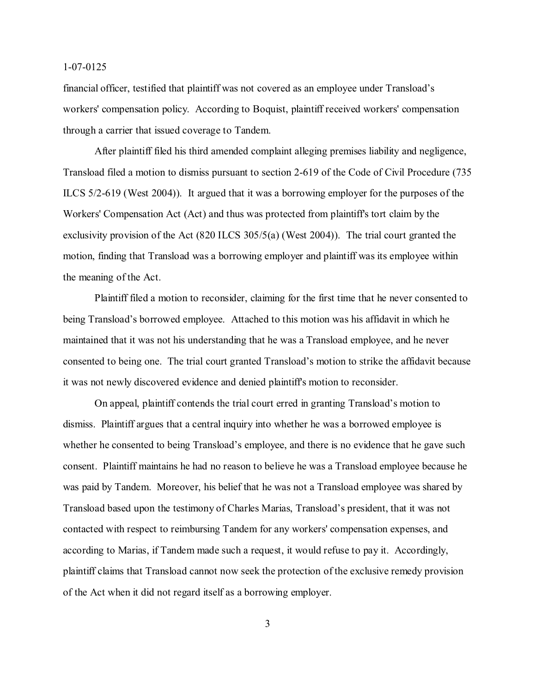financial officer, testified that plaintiff was not covered as an employee under Transload's workers' compensation policy. According to Boquist, plaintiff received workers' compensation through a carrier that issued coverage to Tandem.

After plaintiff filed his third amended complaint alleging premises liability and negligence, Transload filed a motion to dismiss pursuant to section 2-619 of the Code of Civil Procedure (735 ILCS 5/2-619 (West 2004)). It argued that it was a borrowing employer for the purposes of the Workers' Compensation Act (Act) and thus was protected from plaintiff's tort claim by the exclusivity provision of the Act (820 ILCS 305/5(a) (West 2004)). The trial court granted the motion, finding that Transload was a borrowing employer and plaintiff was its employee within the meaning of the Act.

Plaintiff filed a motion to reconsider, claiming for the first time that he never consented to being Transload's borrowed employee. Attached to this motion was his affidavit in which he maintained that it was not his understanding that he was a Transload employee, and he never consented to being one. The trial court granted Transload's motion to strike the affidavit because it was not newly discovered evidence and denied plaintiff's motion to reconsider.

On appeal, plaintiff contends the trial court erred in granting Transload's motion to dismiss. Plaintiff argues that a central inquiry into whether he was a borrowed employee is whether he consented to being Transload's employee, and there is no evidence that he gave such consent. Plaintiff maintains he had no reason to believe he was a Transload employee because he was paid by Tandem. Moreover, his belief that he was not a Transload employee was shared by Transload based upon the testimony of Charles Marias, Transload's president, that it was not contacted with respect to reimbursing Tandem for any workers' compensation expenses, and according to Marias, if Tandem made such a request, it would refuse to pay it. Accordingly, plaintiff claims that Transload cannot now seek the protection of the exclusive remedy provision of the Act when it did not regard itself as a borrowing employer.

3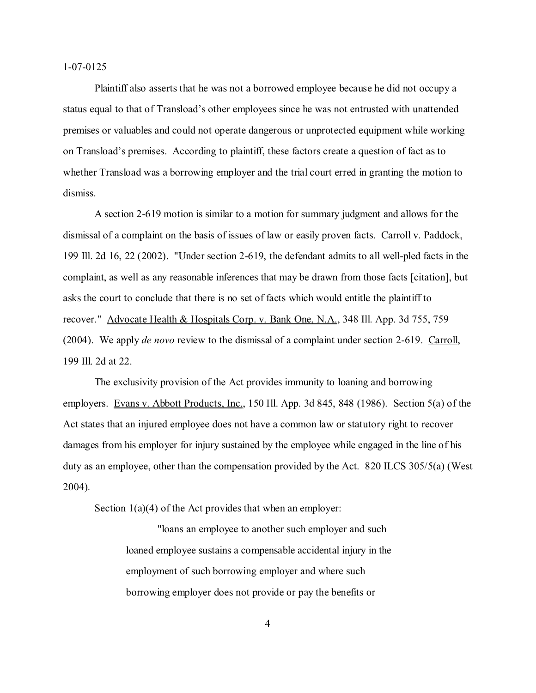Plaintiff also asserts that he was not a borrowed employee because he did not occupy a status equal to that of Transload's other employees since he was not entrusted with unattended premises or valuables and could not operate dangerous or unprotected equipment while working on Transload's premises. According to plaintiff, these factors create a question of fact as to whether Transload was a borrowing employer and the trial court erred in granting the motion to dismiss.

A section 2-619 motion is similar to a motion for summary judgment and allows for the dismissal of a complaint on the basis of issues of law or easily proven facts. Carroll v. Paddock, 199 Ill. 2d 16, 22 (2002). "Under section 2-619, the defendant admits to all well-pled facts in the complaint, as well as any reasonable inferences that may be drawn from those facts [citation], but asks the court to conclude that there is no set of facts which would entitle the plaintiff to recover." Advocate Health & Hospitals Corp. v. Bank One, N.A., 348 Ill. App. 3d 755, 759 (2004). We apply *de novo* review to the dismissal of a complaint under section 2-619. Carroll, 199 Ill. 2d at 22.

The exclusivity provision of the Act provides immunity to loaning and borrowing employers. Evans v. Abbott Products, Inc., 150 Ill. App. 3d 845, 848 (1986). Section 5(a) of the Act states that an injured employee does not have a common law or statutory right to recover damages from his employer for injury sustained by the employee while engaged in the line of his duty as an employee, other than the compensation provided by the Act. 820 ILCS 305/5(a) (West 2004).

Section  $1(a)(4)$  of the Act provides that when an employer:

"loans an employee to another such employer and such loaned employee sustains a compensable accidental injury in the employment of such borrowing employer and where such borrowing employer does not provide or pay the benefits or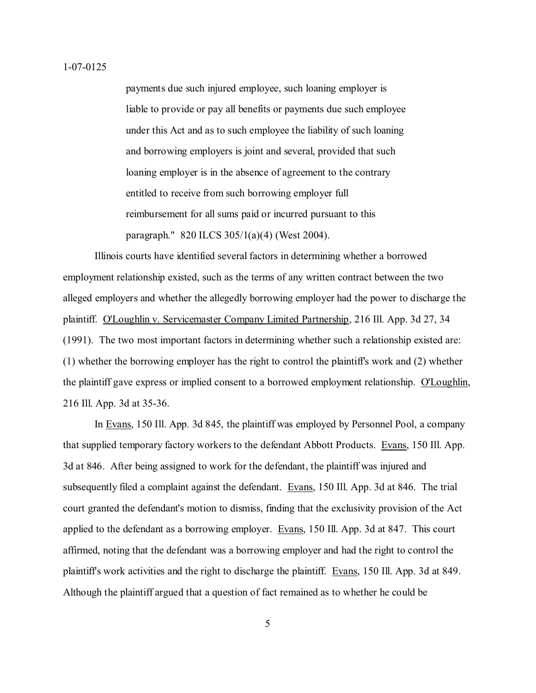payments due such injured employee, such loaning employer is liable to provide or pay all benefits or payments due such employee under this Act and as to such employee the liability of such loaning and borrowing employers is joint and several, provided that such loaning employer is in the absence of agreement to the contrary entitled to receive from such borrowing employer full reimbursement for all sums paid or incurred pursuant to this paragraph." 820 ILCS 305/1(a)(4) (West 2004).

Illinois courts have identified several factors in determining whether a borrowed employment relationship existed, such as the terms of any written contract between the two alleged employers and whether the allegedly borrowing employer had the power to discharge the plaintiff. O'Loughlin v. Servicemaster Company Limited Partnership, 216 Ill. App. 3d 27, 34 (1991). The two most important factors in determining whether such a relationship existed are: (1) whether the borrowing employer has the right to control the plaintiff's work and (2) whether the plaintiff gave express or implied consent to a borrowed employment relationship. O'Loughlin, 216 Ill. App. 3d at 35-36.

In Evans, 150 Ill. App. 3d 845, the plaintiff was employed by Personnel Pool, a company that supplied temporary factory workers to the defendant Abbott Products. Evans, 150 Ill. App. 3d at 846. After being assigned to work for the defendant, the plaintiff was injured and subsequently filed a complaint against the defendant. Evans, 150 Ill. App. 3d at 846. The trial court granted the defendant's motion to dismiss, finding that the exclusivity provision of the Act applied to the defendant as a borrowing employer. Evans, 150 Ill. App. 3d at 847. This court affirmed, noting that the defendant was a borrowing employer and had the right to control the plaintiff's work activities and the right to discharge the plaintiff. Evans, 150 Ill. App. 3d at 849. Although the plaintiff argued that a question of fact remained as to whether he could be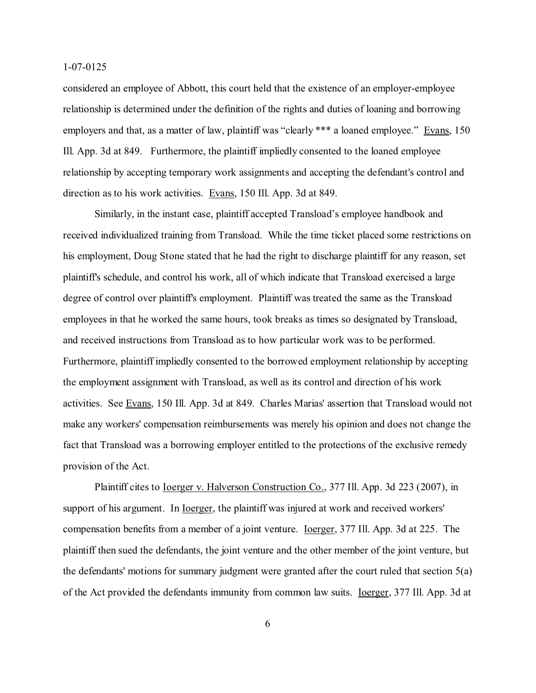considered an employee of Abbott, this court held that the existence of an employer-employee relationship is determined under the definition of the rights and duties of loaning and borrowing employers and that, as a matter of law, plaintiff was "clearly \*\*\* a loaned employee." Evans, 150 Ill. App. 3d at 849. Furthermore, the plaintiff impliedly consented to the loaned employee relationship by accepting temporary work assignments and accepting the defendant's control and direction as to his work activities. Evans, 150 Ill. App. 3d at 849.

Similarly, in the instant case, plaintiff accepted Transload's employee handbook and received individualized training from Transload. While the time ticket placed some restrictions on his employment, Doug Stone stated that he had the right to discharge plaintiff for any reason, set plaintiff's schedule, and control his work, all of which indicate that Transload exercised a large degree of control over plaintiff's employment. Plaintiff was treated the same as the Transload employees in that he worked the same hours, took breaks as times so designated by Transload, and received instructions from Transload as to how particular work was to be performed. Furthermore, plaintiff impliedly consented to the borrowed employment relationship by accepting the employment assignment with Transload, as well as its control and direction of his work activities. See Evans, 150 Ill. App. 3d at 849. Charles Marias' assertion that Transload would not make any workers' compensation reimbursements was merely his opinion and does not change the fact that Transload was a borrowing employer entitled to the protections of the exclusive remedy provision of the Act.

Plaintiff cites to Ioerger v. Halverson Construction Co., 377 Ill. App. 3d 223 (2007), in support of his argument. In <u>Ioerger</u>, the plaintiff was injured at work and received workers' compensation benefits from a member of a joint venture. Ioerger, 377 Ill. App. 3d at 225. The plaintiff then sued the defendants, the joint venture and the other member of the joint venture, but the defendants' motions for summary judgment were granted after the court ruled that section 5(a) of the Act provided the defendants immunity from common law suits. Ioerger, 377 Ill. App. 3d at